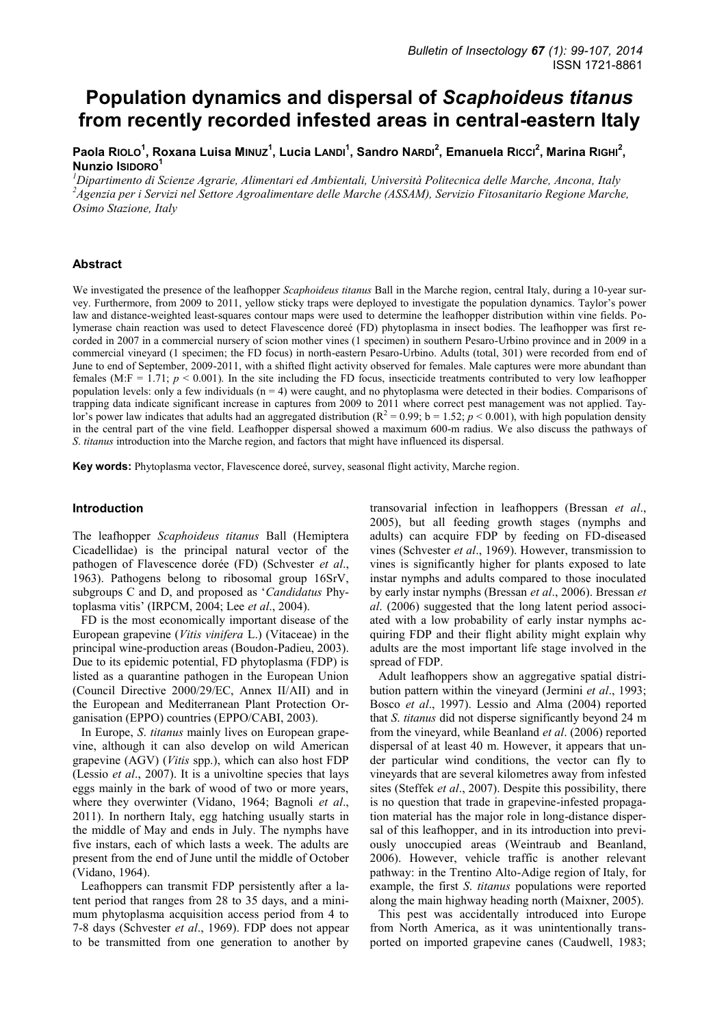# **Population dynamics and dispersal of** *Scaphoideus titanus* **from recently recorded infested areas in central-eastern Italy**

Paola Rio<code>Lo<sup>1</sup>, Roxana Luisa M</code>i<code>nuz<sup>1</code>, Lucia L<code>AnDi<sup>1</code>, Sandro NARDi<sup>2</sup>, Emanuela Ricci<sup>2</sup>, Marina Righi<sup>2</sup>,</code></sup></code></sup> **Nunzio ISIDORO<sup>1</sup>**

*<sup>1</sup>Dipartimento di Scienze Agrarie, Alimentari ed Ambientali, Università Politecnica delle Marche, Ancona, Italy <sup>2</sup>Agenzia per i Servizi nel Settore Agroalimentare delle Marche (ASSAM), Servizio Fitosanitario Regione Marche, Osimo Stazione, Italy* 

## **Abstract**

We investigated the presence of the leafhopper *Scaphoideus titanus* Ball in the Marche region, central Italy, during a 10-year survey. Furthermore, from 2009 to 2011, yellow sticky traps were deployed to investigate the population dynamics. Taylor"s power law and distance-weighted least-squares contour maps were used to determine the leafhopper distribution within vine fields. Polymerase chain reaction was used to detect Flavescence doreé (FD) phytoplasma in insect bodies. The leafhopper was first recorded in 2007 in a commercial nursery of scion mother vines (1 specimen) in southern Pesaro-Urbino province and in 2009 in a commercial vineyard (1 specimen; the FD focus) in north-eastern Pesaro-Urbino. Adults (total, 301) were recorded from end of June to end of September, 2009-2011, with a shifted flight activity observed for females. Male captures were more abundant than females (M:F = 1.71;  $p < 0.001$ ). In the site including the FD focus, insecticide treatments contributed to very low leafhopper population levels: only a few individuals (n = 4) were caught, and no phytoplasma were detected in their bodies. Comparisons of trapping data indicate significant increase in captures from 2009 to 2011 where correct pest management was not applied. Taylor's power law indicates that adults had an aggregated distribution ( $R^2 = 0.99$ ; b = 1.52;  $p < 0.001$ ), with high population density in the central part of the vine field. Leafhopper dispersal showed a maximum 600-m radius. We also discuss the pathways of *S*. *titanus* introduction into the Marche region, and factors that might have influenced its dispersal.

**Key words:** Phytoplasma vector, Flavescence doreé, survey, seasonal flight activity, Marche region.

### **Introduction**

The leafhopper *Scaphoideus titanus* Ball (Hemiptera Cicadellidae) is the principal natural vector of the pathogen of Flavescence dorée (FD) (Schvester *et al*., 1963). Pathogens belong to ribosomal group 16SrV, subgroups C and D, and proposed as "*Candidatus* Phytoplasma vitis" (IRPCM, 2004; Lee *et al*., 2004).

FD is the most economically important disease of the European grapevine (*Vitis vinifera* L.) (Vitaceae) in the principal wine-production areas (Boudon-Padieu, 2003). Due to its epidemic potential, FD phytoplasma (FDP) is listed as a quarantine pathogen in the European Union (Council Directive 2000/29/EC, Annex II/AII) and in the European and Mediterranean Plant Protection Organisation (EPPO) countries (EPPO/CABI, 2003).

In Europe, *S*. *titanus* mainly lives on European grapevine, although it can also develop on wild American grapevine (AGV) (*Vitis* spp.), which can also host FDP (Lessio *et al*., 2007). It is a univoltine species that lays eggs mainly in the bark of wood of two or more years, where they overwinter (Vidano, 1964; Bagnoli *et al*., 2011). In northern Italy, egg hatching usually starts in the middle of May and ends in July. The nymphs have five instars, each of which lasts a week. The adults are present from the end of June until the middle of October (Vidano, 1964).

Leafhoppers can transmit FDP persistently after a latent period that ranges from 28 to 35 days, and a minimum phytoplasma acquisition access period from 4 to 7-8 days (Schvester *et al*., 1969). FDP does not appear to be transmitted from one generation to another by

transovarial infection in leafhoppers (Bressan *et al*., 2005), but all feeding growth stages (nymphs and adults) can acquire FDP by feeding on FD-diseased vines (Schvester *et al*., 1969). However, transmission to vines is significantly higher for plants exposed to late instar nymphs and adults compared to those inoculated by early instar nymphs (Bressan *et al*., 2006). Bressan *et al*. (2006) suggested that the long latent period associated with a low probability of early instar nymphs acquiring FDP and their flight ability might explain why adults are the most important life stage involved in the spread of FDP.

Adult leafhoppers show an aggregative spatial distribution pattern within the vineyard (Jermini *et al*., 1993; Bosco *et al*., 1997). Lessio and Alma (2004) reported that *S*. *titanus* did not disperse significantly beyond 24 m from the vineyard, while Beanland *et al*. (2006) reported dispersal of at least 40 m. However, it appears that under particular wind conditions, the vector can fly to vineyards that are several kilometres away from infested sites (Steffek *et al*., 2007). Despite this possibility, there is no question that trade in grapevine-infested propagation material has the major role in long-distance dispersal of this leafhopper, and in its introduction into previously unoccupied areas (Weintraub and Beanland, 2006). However, vehicle traffic is another relevant pathway: in the Trentino Alto-Adige region of Italy, for example, the first *S*. *titanus* populations were reported along the main highway heading north (Maixner, 2005).

This pest was accidentally introduced into Europe from North America, as it was unintentionally transported on imported grapevine canes (Caudwell, 1983;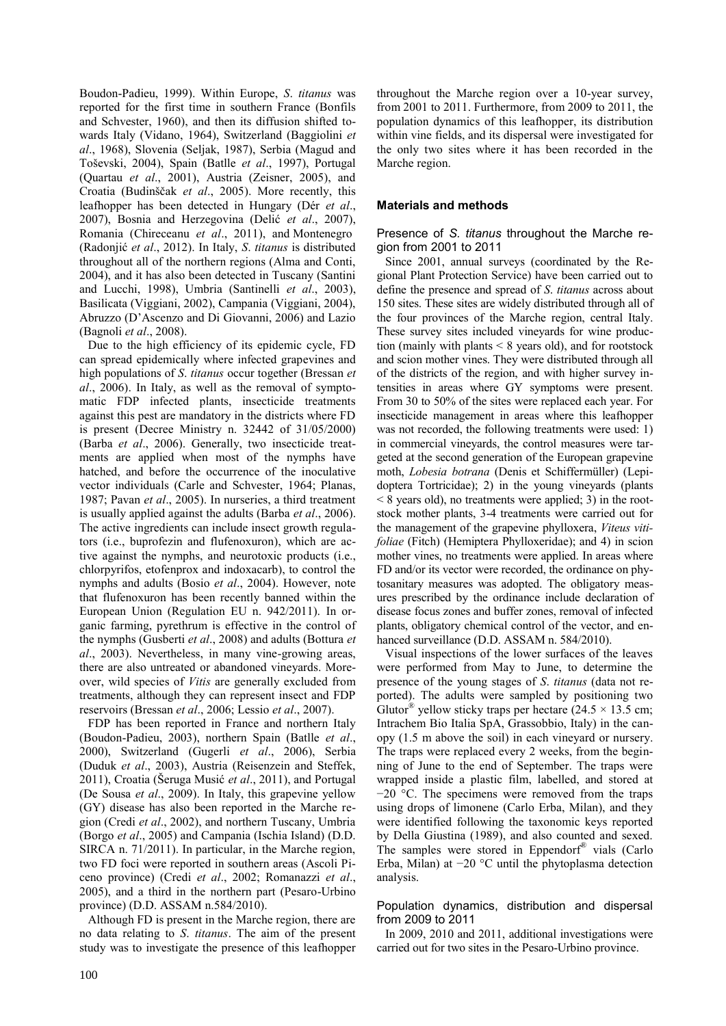Boudon-Padieu, 1999). Within Europe, *S*. *titanus* was reported for the first time in southern France (Bonfils and Schvester, 1960), and then its diffusion shifted towards Italy (Vidano, 1964), Switzerland (Baggiolini *et al*., 1968), Slovenia (Seljak, 1987), Serbia (Magud and Toševski, 2004), Spain (Batlle *et al*., 1997), Portugal (Quartau *et al*., 2001), Austria (Zeisner, 2005), and Croatia (Budinšĉak *et al*., 2005). More recently, this leafhopper has been detected in Hungary (Dér *et al*., 2007), Bosnia and Herzegovina (Delić *et al*., 2007), Romania (Chireceanu *et al*., 2011), and Montenegro (Radonjić *et al*., 2012). In Italy, *S*. *titanus* is distributed throughout all of the northern regions (Alma and Conti, 2004), and it has also been detected in Tuscany (Santini and Lucchi, 1998), Umbria (Santinelli *et al*., 2003), Basilicata (Viggiani, 2002), Campania (Viggiani, 2004), Abruzzo (D"Ascenzo and Di Giovanni, 2006) and Lazio (Bagnoli *et al*., 2008).

Due to the high efficiency of its epidemic cycle, FD can spread epidemically where infected grapevines and high populations of *S*. *titanus* occur together (Bressan *et al*., 2006). In Italy, as well as the removal of symptomatic FDP infected plants, insecticide treatments against this pest are mandatory in the districts where FD is present (Decree Ministry n. 32442 of 31/05/2000) (Barba *et al*., 2006). Generally, two insecticide treatments are applied when most of the nymphs have hatched, and before the occurrence of the inoculative vector individuals (Carle and Schvester, 1964; Planas, 1987; Pavan *et al*., 2005). In nurseries, a third treatment is usually applied against the adults (Barba *et al*., 2006). The active ingredients can include insect growth regulators (i.e., buprofezin and flufenoxuron), which are active against the nymphs, and neurotoxic products (i.e., chlorpyrifos, etofenprox and indoxacarb), to control the nymphs and adults (Bosio *et al*., 2004). However, note that flufenoxuron has been recently banned within the European Union (Regulation EU n. 942/2011). In organic farming, pyrethrum is effective in the control of the nymphs (Gusberti *et al*., 2008) and adults (Bottura *et al*., 2003). Nevertheless, in many vine-growing areas, there are also untreated or abandoned vineyards. Moreover, wild species of *Vitis* are generally excluded from treatments, although they can represent insect and FDP reservoirs (Bressan *et al*., 2006; Lessio *et al*., 2007).

FDP has been reported in France and northern Italy (Boudon-Padieu, 2003), northern Spain (Batlle *et al*., 2000), Switzerland (Gugerli *et al*., 2006), Serbia (Duduk *et al*., 2003), Austria (Reisenzein and Steffek, 2011), Croatia (Šeruga Musić *et al*., 2011), and Portugal (De Sousa *et al*., 2009). In Italy, this grapevine yellow (GY) disease has also been reported in the Marche region (Credi *et al*., 2002), and northern Tuscany, Umbria (Borgo *et al*., 2005) and Campania (Ischia Island) (D.D. SIRCA n. 71/2011). In particular, in the Marche region, two FD foci were reported in southern areas (Ascoli Piceno province) (Credi *et al*., 2002; Romanazzi *et al*., 2005), and a third in the northern part (Pesaro-Urbino province) (D.D. ASSAM n.584/2010).

Although FD is present in the Marche region, there are no data relating to *S*. *titanus*. The aim of the present study was to investigate the presence of this leafhopper

throughout the Marche region over a 10-year survey, from 2001 to 2011. Furthermore, from 2009 to 2011, the population dynamics of this leafhopper, its distribution within vine fields, and its dispersal were investigated for the only two sites where it has been recorded in the Marche region.

# **Materials and methods**

# Presence of *S. titanus* throughout the Marche region from 2001 to 2011

Since 2001, annual surveys (coordinated by the Regional Plant Protection Service) have been carried out to define the presence and spread of *S*. *titanus* across about 150 sites. These sites are widely distributed through all of the four provinces of the Marche region, central Italy. These survey sites included vineyards for wine production (mainly with plants  $\leq 8$  years old), and for rootstock and scion mother vines. They were distributed through all of the districts of the region, and with higher survey intensities in areas where GY symptoms were present. From 30 to 50% of the sites were replaced each year. For insecticide management in areas where this leafhopper was not recorded, the following treatments were used: 1) in commercial vineyards, the control measures were targeted at the second generation of the European grapevine moth, *Lobesia botrana* (Denis et Schiffermüller) (Lepidoptera Tortricidae); 2) in the young vineyards (plants < 8 years old), no treatments were applied; 3) in the rootstock mother plants, 3-4 treatments were carried out for the management of the grapevine phylloxera, *Viteus vitifoliae* (Fitch) (Hemiptera Phylloxeridae); and 4) in scion mother vines, no treatments were applied. In areas where FD and/or its vector were recorded, the ordinance on phytosanitary measures was adopted. The obligatory measures prescribed by the ordinance include declaration of disease focus zones and buffer zones, removal of infected plants, obligatory chemical control of the vector, and enhanced surveillance (D.D. ASSAM n. 584/2010).

Visual inspections of the lower surfaces of the leaves were performed from May to June, to determine the presence of the young stages of *S*. *titanus* (data not reported). The adults were sampled by positioning two Glutor<sup>®</sup> yellow sticky traps per hectare (24.5  $\times$  13.5 cm; Intrachem Bio Italia SpA, Grassobbio, Italy) in the canopy (1.5 m above the soil) in each vineyard or nursery. The traps were replaced every 2 weeks, from the beginning of June to the end of September. The traps were wrapped inside a plastic film, labelled, and stored at −20 °C. The specimens were removed from the traps using drops of limonene (Carlo Erba, Milan), and they were identified following the taxonomic keys reported by Della Giustina (1989), and also counted and sexed. The samples were stored in Eppendorf® vials (Carlo Erba, Milan) at −20 °C until the phytoplasma detection analysis.

# Population dynamics, distribution and dispersal from 2009 to 2011

In 2009, 2010 and 2011, additional investigations were carried out for two sites in the Pesaro-Urbino province.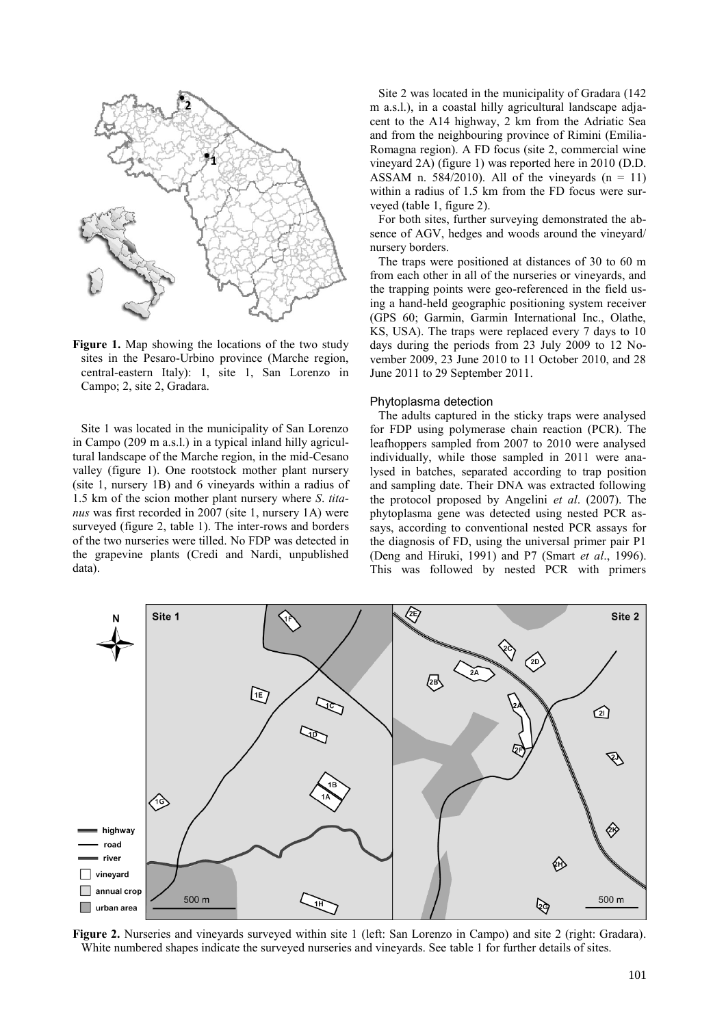

**Figure 1.** Map showing the locations of the two study sites in the Pesaro-Urbino province (Marche region, central-eastern Italy): 1, site 1, San Lorenzo in Campo; 2, site 2, Gradara.

Site 1 was located in the municipality of San Lorenzo in Campo (209 m a.s.l.) in a typical inland hilly agricultural landscape of the Marche region, in the mid-Cesano valley (figure 1). One rootstock mother plant nursery (site 1, nursery 1B) and 6 vineyards within a radius of 1.5 km of the scion mother plant nursery where *S*. *titanus* was first recorded in 2007 (site 1, nursery 1A) were surveyed (figure 2, table 1). The inter-rows and borders of the two nurseries were tilled. No FDP was detected in the grapevine plants (Credi and Nardi, unpublished data).

Site 2 was located in the municipality of Gradara (142 m a.s.l.), in a coastal hilly agricultural landscape adjacent to the A14 highway, 2 km from the Adriatic Sea and from the neighbouring province of Rimini (Emilia-Romagna region). A FD focus (site 2, commercial wine vineyard 2A) (figure 1) was reported here in 2010 (D.D. ASSAM n. 584/2010). All of the vineyards  $(n = 11)$ within a radius of 1.5 km from the FD focus were surveyed (table 1, figure 2).

For both sites, further surveying demonstrated the absence of AGV, hedges and woods around the vineyard/ nursery borders.

The traps were positioned at distances of 30 to 60 m from each other in all of the nurseries or vineyards, and the trapping points were geo-referenced in the field using a hand-held geographic positioning system receiver (GPS 60; Garmin, Garmin International Inc., Olathe, KS, USA). The traps were replaced every 7 days to 10 days during the periods from 23 July 2009 to 12 November 2009, 23 June 2010 to 11 October 2010, and 28 June 2011 to 29 September 2011.

#### Phytoplasma detection

The adults captured in the sticky traps were analysed for FDP using polymerase chain reaction (PCR). The leafhoppers sampled from 2007 to 2010 were analysed individually, while those sampled in 2011 were analysed in batches, separated according to trap position and sampling date. Their DNA was extracted following the protocol proposed by Angelini *et al*. (2007). The phytoplasma gene was detected using nested PCR assays, according to conventional nested PCR assays for the diagnosis of FD, using the universal primer pair P1 (Deng and Hiruki, 1991) and P7 (Smart *et al*., 1996). This was followed by nested PCR with primers



**Figure 2.** Nurseries and vineyards surveyed within site 1 (left: San Lorenzo in Campo) and site 2 (right: Gradara). White numbered shapes indicate the surveyed nurseries and vineyards. See table 1 for further details of sites.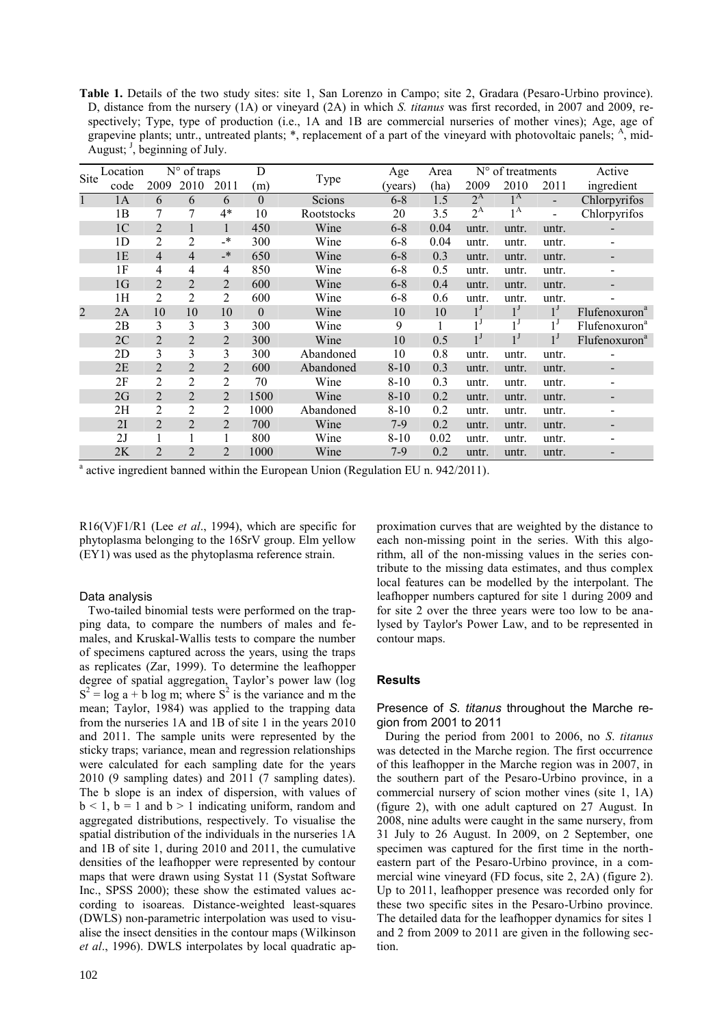**Table 1.** Details of the two study sites: site 1, San Lorenzo in Campo; site 2, Gradara (Pesaro-Urbino province). D, distance from the nursery (1A) or vineyard (2A) in which *S. titanus* was first recorded, in 2007 and 2009, respectively; Type, type of production (i.e., 1A and 1B are commercial nurseries of mother vines); Age, age of grapevine plants; untr., untreated plants; \*, replacement of a part of the vineyard with photovoltaic panels;  $A$ , mid-August;  $\frac{J}{J}$ , beginning of July.

| Site           | Location       |                |                | N° of traps    |                |            | Age      | Area | N° of treatments |                  |                              | Active                    |  |
|----------------|----------------|----------------|----------------|----------------|----------------|------------|----------|------|------------------|------------------|------------------------------|---------------------------|--|
|                | code           | 2009           | 2010           | 2011           | (m)            | Type       | (vears)  | (ha) | 2009             | 2010             | 2011                         | ingredient                |  |
| $\mathbf{1}$   | 1A             | 6              | 6              | 6              | $\overline{0}$ | Scions     | $6 - 8$  | 1.5  | $2^{\rm A}$      | $1^{\rm A}$      |                              | Chlorpyrifos              |  |
|                | 1B             | 7              | 7              | $4*$           | 10             | Rootstocks | 20       | 3.5  | $2^{\rm A}$      | 1 A              | $\qquad \qquad \blacksquare$ | Chlorpyrifos              |  |
|                | 1 <sup>C</sup> | $\overline{2}$ |                | 1              | 450            | Wine       | $6 - 8$  | 0.04 | untr.            | untr.            | untr.                        |                           |  |
|                | 1 <sub>D</sub> | 2              | 2              | $\cdot$        | 300            | Wine       | $6 - 8$  | 0.04 | untr.            | untr.            | untr.                        | $\overline{\phantom{a}}$  |  |
|                | 1E             | $\overline{4}$ | $\overline{4}$ | $\rightarrow$  | 650            | Wine       | $6 - 8$  | 0.3  | untr.            | untr.            | untr.                        |                           |  |
|                | 1F             | 4              | 4              | 4              | 850            | Wine       | $6 - 8$  | 0.5  | untr.            | untr.            | untr.                        | -                         |  |
|                | 1 <sub>G</sub> | $\overline{2}$ | $\overline{2}$ | 2              | 600            | Wine       | $6 - 8$  | 0.4  | untr.            | untr.            | untr.                        |                           |  |
|                | 1H             | $\overline{2}$ | 2              | $\overline{2}$ | 600            | Wine       | $6 - 8$  | 0.6  | untr.            | untr.            | untr.                        | -                         |  |
| $\overline{2}$ | 2A             | 10             | 10             | 10             | $\theta$       | Wine       | 10       | 10   | $1^{\prime}$     | $1^{\mathsf{J}}$ | $1^{\mathsf{J}}$             | Flufenoxuron <sup>a</sup> |  |
|                | 2B             | 3              | 3              | 3              | 300            | Wine       | 9        | 1    | 1 <sup>J</sup>   | 1 <sup>J</sup>   | 1 J                          | Flufenoxuron <sup>a</sup> |  |
|                | 2C             | $\overline{2}$ | $\overline{2}$ | 2              | 300            | Wine       | 10       | 0.5  | $1^{\prime}$     | $1^{\mathsf{J}}$ | $1^{\mathsf{J}}$             | Flufenoxuron <sup>a</sup> |  |
|                | 2D             | 3              | 3              | 3              | 300            | Abandoned  | 10       | 0.8  | untr.            | untr.            | untr.                        | -                         |  |
|                | 2E             | $\overline{2}$ | $\overline{2}$ | $\overline{2}$ | 600            | Abandoned  | $8 - 10$ | 0.3  | untr.            | untr.            | untr.                        |                           |  |
|                | 2F             | $\overline{2}$ | $\overline{2}$ | $\overline{c}$ | 70             | Wine       | 8-10     | 0.3  | untr.            | untr.            | untr.                        | $\overline{a}$            |  |
|                | 2G             | $\overline{2}$ | $\overline{2}$ | $\overline{2}$ | 1500           | Wine       | $8 - 10$ | 0.2  | untr.            | untr.            | untr.                        |                           |  |
|                | 2H             | $\overline{c}$ | $\overline{2}$ | 2              | 1000           | Abandoned  | $8 - 10$ | 0.2  | untr.            | untr.            | untr.                        | -                         |  |
|                | 2I             | $\overline{2}$ | $\overline{2}$ | $\overline{2}$ | 700            | Wine       | $7-9$    | 0.2  | untr.            | untr.            | untr.                        | -                         |  |
|                | 2J             | 1              | 1              |                | 800            | Wine       | 8-10     | 0.02 | untr.            | untr.            | untr.                        |                           |  |
|                | 2K             | $\overline{2}$ | $\overline{2}$ | $\overline{2}$ | 1000           | Wine       | $7-9$    | 0.2  | untr.            | untr.            | untr.                        |                           |  |

<sup>a</sup> active ingredient banned within the European Union (Regulation EU n. 942/2011).

R16(V)F1/R1 (Lee *et al*., 1994), which are specific for phytoplasma belonging to the 16SrV group. Elm yellow (EY1) was used as the phytoplasma reference strain.

### Data analysis

Two-tailed binomial tests were performed on the trapping data, to compare the numbers of males and females, and Kruskal-Wallis tests to compare the number of specimens captured across the years, using the traps as replicates (Zar, 1999). To determine the leafhopper degree of spatial aggregation, Taylor's power law (log  $S<sup>2</sup> = \log a + b \log m$ ; where  $S<sup>2</sup>$  is the variance and m the mean; Taylor, 1984) was applied to the trapping data from the nurseries 1A and 1B of site 1 in the years 2010 and 2011. The sample units were represented by the sticky traps; variance, mean and regression relationships were calculated for each sampling date for the years 2010 (9 sampling dates) and 2011 (7 sampling dates). The b slope is an index of dispersion, with values of  $b < 1$ ,  $b = 1$  and  $b > 1$  indicating uniform, random and aggregated distributions, respectively. To visualise the spatial distribution of the individuals in the nurseries 1A and 1B of site 1, during 2010 and 2011, the cumulative densities of the leafhopper were represented by contour maps that were drawn using Systat 11 (Systat Software Inc., SPSS 2000); these show the estimated values according to isoareas. Distance-weighted least-squares (DWLS) non-parametric interpolation was used to visualise the insect densities in the contour maps (Wilkinson *et al*., 1996). DWLS interpolates by local quadratic ap-

proximation curves that are weighted by the distance to each non-missing point in the series. With this algorithm, all of the non-missing values in the series contribute to the missing data estimates, and thus complex local features can be modelled by the interpolant. The leafhopper numbers captured for site 1 during 2009 and for site 2 over the three years were too low to be analysed by Taylor's Power Law, and to be represented in contour maps.

### **Results**

## Presence of *S. titanus* throughout the Marche region from 2001 to 2011

During the period from 2001 to 2006, no *S*. *titanus* was detected in the Marche region. The first occurrence of this leafhopper in the Marche region was in 2007, in the southern part of the Pesaro-Urbino province, in a commercial nursery of scion mother vines (site 1, 1A) (figure 2), with one adult captured on 27 August. In 2008, nine adults were caught in the same nursery, from 31 July to 26 August. In 2009, on 2 September, one specimen was captured for the first time in the northeastern part of the Pesaro-Urbino province, in a commercial wine vineyard (FD focus, site 2, 2A) (figure 2). Up to 2011, leafhopper presence was recorded only for these two specific sites in the Pesaro-Urbino province. The detailed data for the leafhopper dynamics for sites 1 and 2 from 2009 to 2011 are given in the following section.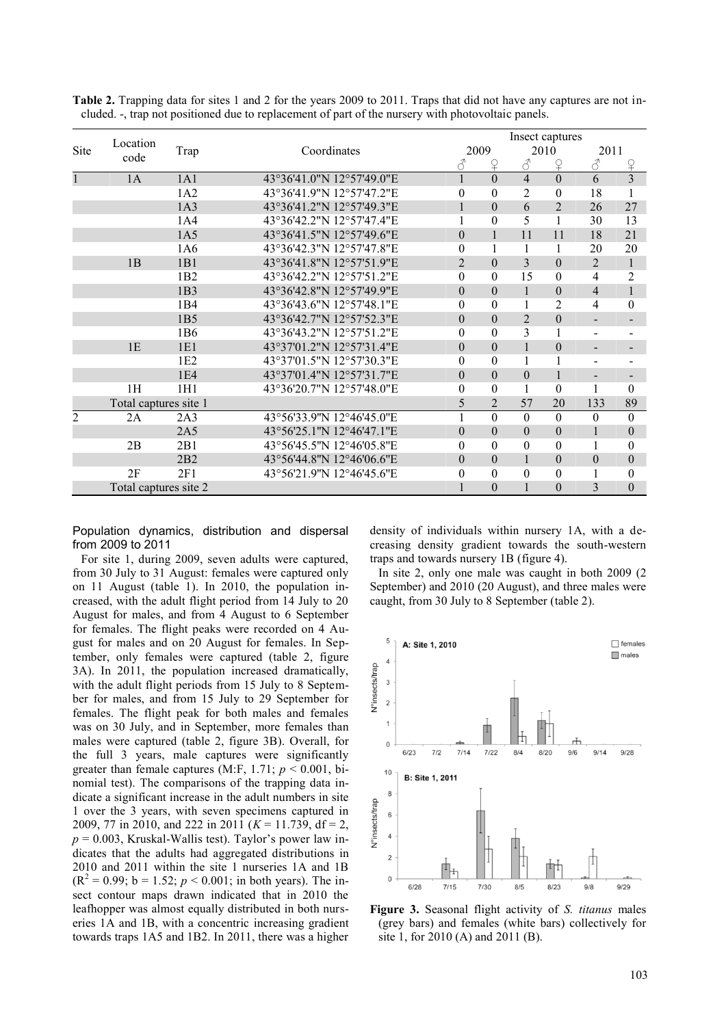|                |                       |                 |                           | Insect captures |          |                |                |                          |                  |  |
|----------------|-----------------------|-----------------|---------------------------|-----------------|----------|----------------|----------------|--------------------------|------------------|--|
| <b>Site</b>    | Location              | Trap            | Coordinates               |                 | 2009     | 2010           |                | 2011                     |                  |  |
|                | code                  |                 |                           | 8               | ♀        | $\mathcal{S}$  | $\Omega$       | $\mathcal{E}$            | $\Omega$         |  |
|                | 1A                    | 1A1             | 43°36'41.0"N 12°57'49.0"E | $\mathbf{1}$    | $\Omega$ | $\overline{4}$ | $\Omega$       | 6                        | $\overline{3}$   |  |
|                |                       | 1A2             | 43°36'41.9"N 12°57'47.2"E | $\theta$        | $\theta$ | $\overline{2}$ | $\theta$       | 18                       | 1                |  |
|                |                       | 1A3             | 43°36'41.2"N 12°57'49.3"E |                 | $\theta$ | 6              | $\overline{2}$ | 26                       | 27               |  |
|                |                       | 1A4             | 43°36'42.2"N 12°57'47.4"E | 1               | $\Omega$ | 5              | 1              | 30                       | 13               |  |
|                |                       | 1A5             | 43°36'41.5"N 12°57'49.6"E | $\theta$        |          | 11             | 11             | 18                       | 21               |  |
|                |                       | 1A6             | 43°36'42.3"N 12°57'47.8"E | $\theta$        |          |                | 1              | 20                       | 20               |  |
|                | 1B                    | 1B1             | 43°36'41.8"N 12°57'51.9"E | $\overline{2}$  | $\theta$ | 3              | $\theta$       | $\overline{2}$           | $\mathbf{1}$     |  |
|                |                       | 1B2             | 43°36'42.2"N 12°57'51.2"E | $\Omega$        | $\Omega$ | 15             | $\theta$       | 4                        | $\overline{2}$   |  |
|                |                       | 1B <sub>3</sub> | 43°36'42.8"N 12°57'49.9"E | $\theta$        | $\theta$ | $\mathbf{1}$   | $\theta$       | $\overline{4}$           | $\mathbf{1}$     |  |
|                |                       | 1 <sub>B4</sub> | 43°36'43.6"N 12°57'48.1"E | $\Omega$        | $\Omega$ |                | $\overline{c}$ | 4                        | $\mathbf{0}$     |  |
|                |                       | 1B <sub>5</sub> | 43°36'42.7"N 12°57'52.3"E | $\Omega$        | $\Omega$ | $\overline{2}$ | $\theta$       | $\overline{\phantom{a}}$ |                  |  |
|                |                       | 1B <sub>6</sub> | 43°36'43.2"N 12°57'51.2"E | $\theta$        | $\Omega$ | 3              | 1              | $\blacksquare$           |                  |  |
|                | 1E                    | 1E1             | 43°37'01.2"N 12°57'31.4"E | $\Omega$        | $\Omega$ | $\mathbf{1}$   | $\theta$       | $\overline{\phantom{0}}$ |                  |  |
|                |                       | 1 <sub>E2</sub> | 43°37'01.5"N 12°57'30.3"E | $\Omega$        | $\theta$ |                | 1              | $\overline{\phantom{a}}$ |                  |  |
|                |                       | 1 <sub>E4</sub> | 43°37'01.4"N 12°57'31.7"E | $\theta$        | $\theta$ | $\theta$       | $\mathbf{1}$   | $\blacksquare$           |                  |  |
|                | 1H                    | 1H1             | 43°36'20.7"N 12°57'48.0"E | $\Omega$        | $\theta$ | 1              | $\theta$       | 1                        | $\theta$         |  |
|                | Total captures site 1 |                 |                           |                 |          | 57             | 20             | 133                      | 89               |  |
| $\overline{2}$ | 2A                    | 2A3             | 43°56'33.9"N 12°46'45.0"E | $\mathbf{1}$    | $\Omega$ | $\Omega$       | $\Omega$       | $\theta$                 | $\theta$         |  |
|                |                       | 2A <sub>5</sub> | 43°56'25.1"N 12°46'47.1"E | $\theta$        | $\theta$ | $\theta$       | $\theta$       | $\mathbf{1}$             | $\theta$         |  |
|                | 2B                    | 2B1             | 43°56'45.5"N 12°46'05.8"E | $\Omega$        | $\Omega$ | $\theta$       | $\theta$       | 1                        | $\theta$         |  |
|                |                       | 2B2             | 43°56'44.8"N 12°46'06.6"E | $\Omega$        | $\theta$ |                | $\theta$       | $\boldsymbol{0}$         | $\mathbf{0}$     |  |
|                | 2F                    | 2F1             | 43°56'21.9"N 12°46'45.6"E | $\theta$        | $\theta$ | $\theta$       | $\Omega$       | $\mathbf{1}$             | $\boldsymbol{0}$ |  |
|                | Total captures site 2 |                 | $\Omega$                  |                 | $\Omega$ | 3              | $\theta$       |                          |                  |  |

**Table 2.** Trapping data for sites 1 and 2 for the years 2009 to 2011. Traps that did not have any captures are not included. -, trap not positioned due to replacement of part of the nursery with photovoltaic panels.

Population dynamics, distribution and dispersal from 2009 to 2011

For site 1, during 2009, seven adults were captured, from 30 July to 31 August: females were captured only on 11 August (table 1). In 2010, the population increased, with the adult flight period from 14 July to 20 August for males, and from 4 August to 6 September for females. The flight peaks were recorded on 4 August for males and on 20 August for females. In September, only females were captured (table 2, figure 3A). In 2011, the population increased dramatically, with the adult flight periods from 15 July to 8 September for males, and from 15 July to 29 September for females. The flight peak for both males and females was on 30 July, and in September, more females than males were captured (table 2, figure 3B). Overall, for the full 3 years, male captures were significantly greater than female captures  $(M.F, 1.71; p < 0.001, bi-$ nomial test). The comparisons of the trapping data indicate a significant increase in the adult numbers in site 1 over the 3 years, with seven specimens captured in 2009, 77 in 2010, and 222 in 2011 (*K* = 11.739, df = 2,  $p = 0.003$ , Kruskal-Wallis test). Taylor's power law indicates that the adults had aggregated distributions in 2010 and 2011 within the site 1 nurseries 1A and 1B  $(R<sup>2</sup> = 0.99; b = 1.52; p < 0.001;$  in both years). The insect contour maps drawn indicated that in 2010 the leafhopper was almost equally distributed in both nurseries 1A and 1B, with a concentric increasing gradient towards traps 1A5 and 1B2. In 2011, there was a higher

density of individuals within nursery 1A, with a decreasing density gradient towards the south-western traps and towards nursery 1B (figure 4).

In site 2, only one male was caught in both 2009 (2 September) and 2010 (20 August), and three males were caught, from 30 July to 8 September (table 2).



**Figure 3.** Seasonal flight activity of *S. titanus* males (grey bars) and females (white bars) collectively for site 1, for 2010 (A) and 2011 (B).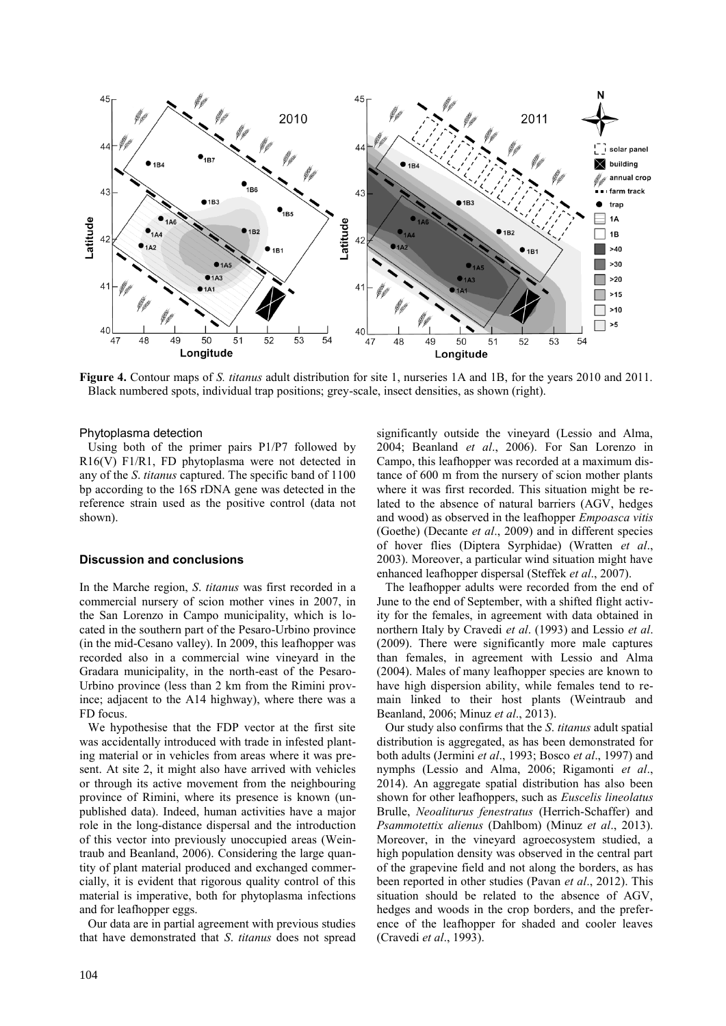

**Figure 4.** Contour maps of *S. titanus* adult distribution for site 1, nurseries 1A and 1B, for the years 2010 and 2011. Black numbered spots, individual trap positions; grey-scale, insect densities, as shown (right).

## Phytoplasma detection

Using both of the primer pairs P1/P7 followed by R16(V) F1/R1, FD phytoplasma were not detected in any of the *S*. *titanus* captured. The specific band of 1100 bp according to the 16S rDNA gene was detected in the reference strain used as the positive control (data not shown).

#### **Discussion and conclusions**

In the Marche region, *S*. *titanus* was first recorded in a commercial nursery of scion mother vines in 2007, in the San Lorenzo in Campo municipality, which is located in the southern part of the Pesaro-Urbino province (in the mid-Cesano valley). In 2009, this leafhopper was recorded also in a commercial wine vineyard in the Gradara municipality, in the north-east of the Pesaro-Urbino province (less than 2 km from the Rimini province; adjacent to the A14 highway), where there was a FD focus.

We hypothesise that the FDP vector at the first site was accidentally introduced with trade in infested planting material or in vehicles from areas where it was present. At site 2, it might also have arrived with vehicles or through its active movement from the neighbouring province of Rimini, where its presence is known (unpublished data). Indeed, human activities have a major role in the long-distance dispersal and the introduction of this vector into previously unoccupied areas (Weintraub and Beanland, 2006). Considering the large quantity of plant material produced and exchanged commercially, it is evident that rigorous quality control of this material is imperative, both for phytoplasma infections and for leafhopper eggs.

Our data are in partial agreement with previous studies that have demonstrated that *S*. *titanus* does not spread

significantly outside the vineyard (Lessio and Alma, 2004; Beanland *et al*., 2006). For San Lorenzo in Campo, this leafhopper was recorded at a maximum distance of 600 m from the nursery of scion mother plants where it was first recorded. This situation might be related to the absence of natural barriers (AGV, hedges and wood) as observed in the leafhopper *Empoasca vitis* (Goethe) (Decante *et al*., 2009) and in different species of hover flies (Diptera Syrphidae) (Wratten *et al*., 2003). Moreover, a particular wind situation might have enhanced leafhopper dispersal (Steffek *et al*., 2007).

The leafhopper adults were recorded from the end of June to the end of September, with a shifted flight activity for the females, in agreement with data obtained in northern Italy by Cravedi *et al*. (1993) and Lessio *et al*. (2009). There were significantly more male captures than females, in agreement with Lessio and Alma (2004). Males of many leafhopper species are known to have high dispersion ability, while females tend to remain linked to their host plants (Weintraub and Beanland, 2006; Minuz *et al*., 2013).

Our study also confirms that the *S*. *titanus* adult spatial distribution is aggregated, as has been demonstrated for both adults (Jermini *et al*., 1993; Bosco *et al*., 1997) and nymphs (Lessio and Alma, 2006; Rigamonti *et al*., 2014). An aggregate spatial distribution has also been shown for other leafhoppers, such as *Euscelis lineolatus*  Brulle, *Neoaliturus fenestratus* (Herrich-Schaffer) and *Psammotettix alienus* (Dahlbom) (Minuz *et al*., 2013). Moreover, in the vineyard agroecosystem studied, a high population density was observed in the central part of the grapevine field and not along the borders, as has been reported in other studies (Pavan *et al*., 2012). This situation should be related to the absence of AGV, hedges and woods in the crop borders, and the preference of the leafhopper for shaded and cooler leaves (Cravedi *et al*., 1993).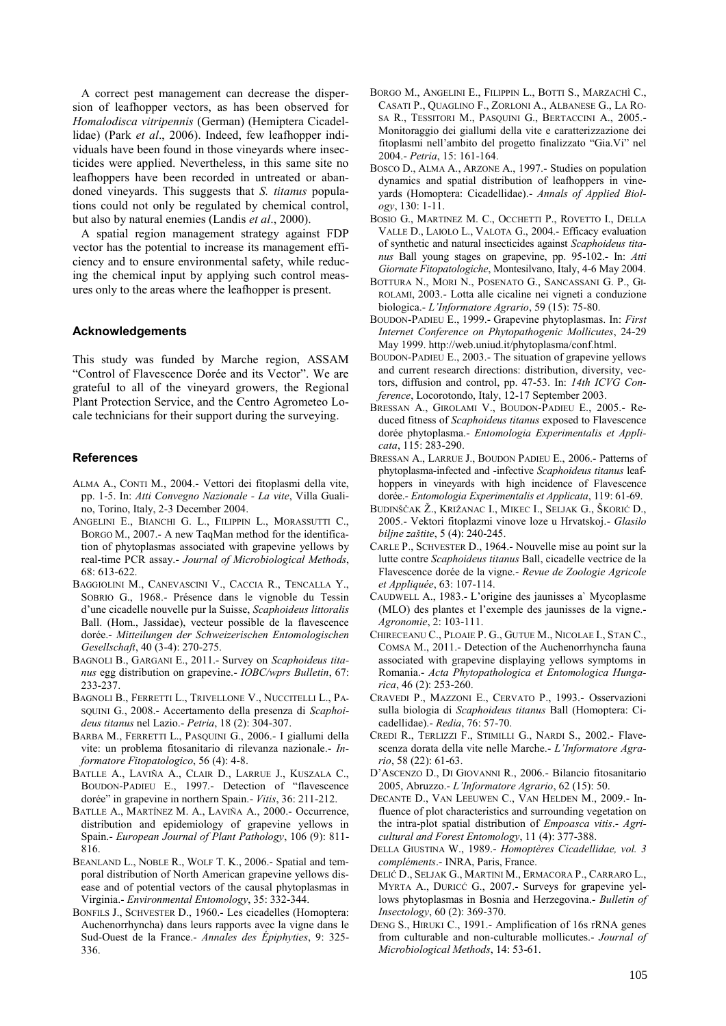A correct pest management can decrease the dispersion of leafhopper vectors, as has been observed for *Homalodisca vitripennis* (German) (Hemiptera Cicadellidae) (Park *et al*., 2006). Indeed, few leafhopper individuals have been found in those vineyards where insecticides were applied. Nevertheless, in this same site no leafhoppers have been recorded in untreated or abandoned vineyards. This suggests that *S. titanus* populations could not only be regulated by chemical control, but also by natural enemies (Landis *et al*., 2000).

A spatial region management strategy against FDP vector has the potential to increase its management efficiency and to ensure environmental safety, while reducing the chemical input by applying such control measures only to the areas where the leafhopper is present.

### **Acknowledgements**

This study was funded by Marche region, ASSAM "Control of Flavescence Dorée and its Vector". We are grateful to all of the vineyard growers, the Regional Plant Protection Service, and the Centro Agrometeo Locale technicians for their support during the surveying.

#### **References**

- ALMA A., CONTI M., 2004.- Vettori dei fitoplasmi della vite, pp. 1-5. In: *Atti Convegno Nazionale - La vite*, Villa Gualino, Torino, Italy, 2-3 December 2004.
- ANGELINI E., BIANCHI G. L., FILIPPIN L., MORASSUTTI C., BORGO M., 2007.- A new TaqMan method for the identification of phytoplasmas associated with grapevine yellows by real-time PCR assay.- *Journal of Microbiological Methods*,  $68.613-622$
- BAGGIOLINI M., CANEVASCINI V., CACCIA R., TENCALLA Y., SOBRIO G., 1968.- Présence dans le vignoble du Tessin d"une cicadelle nouvelle pur la Suisse, *Scaphoideus littoralis* Ball. (Hom., Jassidae), vecteur possible de la flavescence dorée.- *Mitteilungen der Schweizerischen Entomologischen Gesellschaft*, 40 (3-4): 270-275.
- BAGNOLI B., GARGANI E., 2011.- Survey on *Scaphoideus titanus* egg distribution on grapevine.- *IOBC/wprs Bulletin*, 67: 233-237.
- BAGNOLI B., FERRETTI L., TRIVELLONE V., NUCCITELLI L., PA-SQUINI G., 2008.- Accertamento della presenza di *Scaphoideus titanus* nel Lazio.- *Petria*, 18 (2): 304-307.
- BARBA M., FERRETTI L., PASQUINI G., 2006.- I giallumi della vite: un problema fitosanitario di rilevanza nazionale.- *Informatore Fitopatologico*, 56 (4): 4-8.
- BATLLE A., LAVIÑA A., CLAIR D., LARRUE J., KUSZALA C., BOUDON-PADIEU E., 1997.- Detection of "flavescence dorée" in grapevine in northern Spain.- *Vitis*, 36: 211-212.
- BATLLE A., MARTÍNEZ M. A., LAVIÑA A., 2000.- Occurrence, distribution and epidemiology of grapevine yellows in Spain.- *European Journal of Plant Pathology*, 106 (9): 811- 816.
- BEANLAND L., NOBLE R., WOLF T. K., 2006.- Spatial and temporal distribution of North American grapevine yellows disease and of potential vectors of the causal phytoplasmas in Virginia.- *Environmental Entomology*, 35: 332-344.
- BONFILS J., SCHVESTER D., 1960.- Les cicadelles (Homoptera: Auchenorrhyncha) dans leurs rapports avec la vigne dans le Sud-Ouest de la France.- *Annales des Épiphyties*, 9: 325- 336.
- BORGO M., ANGELINI E., FILIPPIN L., BOTTI S., MARZACHÌ C., CASATI P., QUAGLINO F., ZORLONI A., ALBANESE G., LA RO-SA R., TESSITORI M., PASQUINI G., BERTACCINI A., 2005.- Monitoraggio dei giallumi della vite e caratterizzazione dei fitoplasmi nell"ambito del progetto finalizzato "Gia.Vi" nel 2004.- *Petria*, 15: 161-164.
- BOSCO D., ALMA A., ARZONE A., 1997.- Studies on population dynamics and spatial distribution of leafhoppers in vineyards (Homoptera: Cicadellidae).- *Annals of Applied Biology*, 130: 1-11.
- BOSIO G., MARTINEZ M. C., OCCHETTI P., ROVETTO I., DELLA VALLE D., LAIOLO L., VALOTA G., 2004.- Efficacy evaluation of synthetic and natural insecticides against *Scaphoideus titanus* Ball young stages on grapevine, pp. 95-102.- In: *Atti Giornate Fitopatologiche*, Montesilvano, Italy, 4-6 May 2004.
- BOTTURA N., MORI N., POSENATO G., SANCASSANI G. P., GI-ROLAMI, 2003.- Lotta alle cicaline nei vigneti a conduzione biologica.- *L'Informatore Agrario*, 59 (15): 75-80.
- BOUDON-PADIEU E., 1999.- Grapevine phytoplasmas. In: *First Internet Conference on Phytopathogenic Mollicutes*, 24-29 May 1999. http://web.uniud.it/phytoplasma/conf.html.
- BOUDON-PADIEU E., 2003.- The situation of grapevine yellows and current research directions: distribution, diversity, vectors, diffusion and control, pp. 47-53. In: *14th ICVG Conference*, Locorotondo, Italy, 12-17 September 2003.
- BRESSAN A., GIROLAMI V., BOUDON-PADIEU E., 2005.- Reduced fitness of *Scaphoideus titanus* exposed to Flavescence dorée phytoplasma.- *Entomologia Experimentalis et Applicata*, 115: 283-290.
- BRESSAN A., LARRUE J., BOUDON PADIEU E., 2006.- Patterns of phytoplasma-infected and -infective *Scaphoideus titanus* leafhoppers in vineyards with high incidence of Flavescence dorée.- *Entomologia Experimentalis et Applicata*, 119: 61-69.
- BUDINŠČAK Ž., KRIŽANAC I., MIKEC I., SELJAK G., ŠKORIĆ D., 2005.- Vektori fitoplazmi vinove loze u Hrvatskoj.- *Glasilo biljne zaštite*, 5 (4): 240-245.
- CARLE P., SCHVESTER D., 1964.- Nouvelle mise au point sur la lutte contre *Scaphoideus titanus* Ball, cicadelle vectrice de la Flavescence dorée de la vigne.- *Revue de Zoologie Agricole et Appliquée*, 63: 107-114.
- CAUDWELL A., 1983.- L"origine des jaunisses a` Mycoplasme (MLO) des plantes et l"exemple des jaunisses de la vigne.- *Agronomie*, 2: 103-111.
- CHIRECEANU C., PLOAIE P. G., GUTUE M., NICOLAE I., STAN C., COMSA M., 2011.- Detection of the Auchenorrhyncha fauna associated with grapevine displaying yellows symptoms in Romania.- *Acta Phytopathologica et Entomologica Hungarica*, 46 (2): 253-260.
- CRAVEDI P., MAZZONI E., CERVATO P., 1993.- Osservazioni sulla biologia di *Scaphoideus titanus* Ball (Homoptera: Cicadellidae).- *Redia*, 76: 57-70.
- CREDI R., TERLIZZI F., STIMILLI G., NARDI S., 2002.- Flavescenza dorata della vite nelle Marche.- *L'Informatore Agrario*, 58 (22): 61-63.
- D"ASCENZO D., DI GIOVANNI R., 2006.- Bilancio fitosanitario 2005, Abruzzo.- *L'Informatore Agrario*, 62 (15): 50.
- DECANTE D., VAN LEEUWEN C., VAN HELDEN M., 2009.- Influence of plot characteristics and surrounding vegetation on the intra-plot spatial distribution of *Empoasca vitis*.- *Agricultural and Forest Entomology*, 11 (4): 377-388.
- DELLA GIUSTINA W., 1989.- *Homoptères Cicadellidae, vol. 3 compléments*.- INRA, Paris, France.
- DELIĆ D., SELJAK G., MARTINI M., ERMACORA P., CARRARO L., MYRTA A., DURICĆ G., 2007.- Surveys for grapevine yellows phytoplasmas in Bosnia and Herzegovina.- *Bulletin of Insectology*, 60 (2): 369-370.
- DENG S., HIRUKI C., 1991.- Amplification of 16s rRNA genes from culturable and non-culturable mollicutes.- *Journal of Microbiological Methods*, 14: 53-61.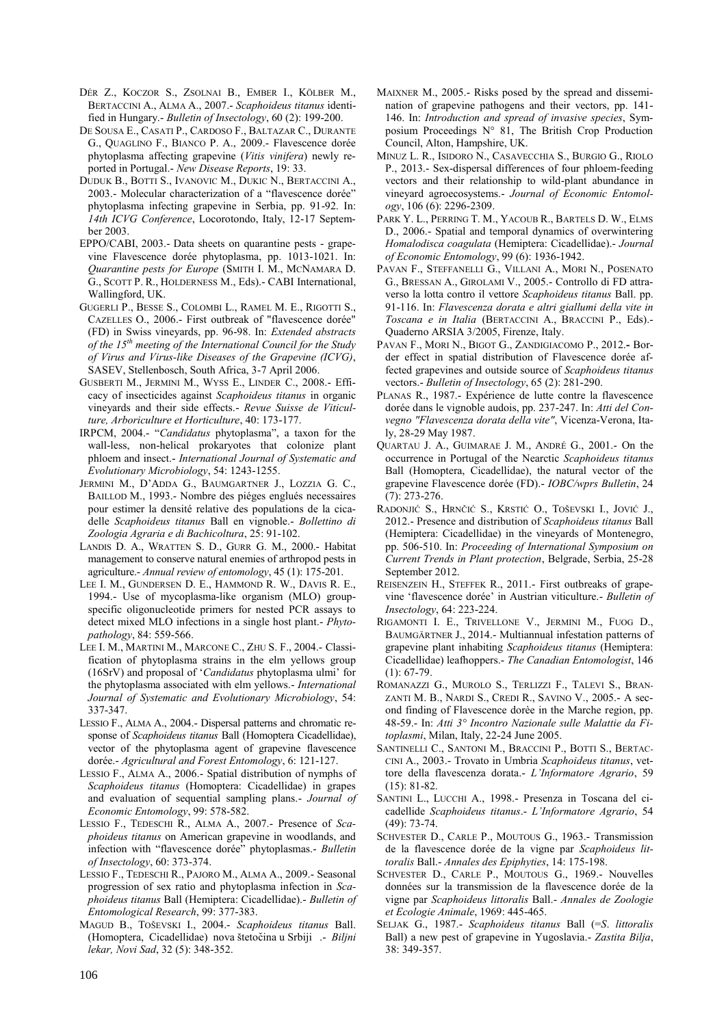- DÉR Z., KOCZOR S., ZSOLNAI B., EMBER I., KÖLBER M., BERTACCINI A., ALMA A., 2007.- *Scaphoideus titanus* identified in Hungary.- *Bulletin of Insectology*, 60 (2): 199-200.
- DE SOUSA E., CASATI P., CARDOSO F., BALTAZAR C., DURANTE G., QUAGLINO F., BIANCO P. A., 2009.- Flavescence dorée phytoplasma affecting grapevine (*Vitis vinifera*) newly reported in Portugal.- *New Disease Reports*, 19: 33.
- DUDUK B., BOTTI S., IVANOVIC M., DUKIC N., BERTACCINI A., 2003.- Molecular characterization of a "flavescence dorée" phytoplasma infecting grapevine in Serbia, pp. 91-92. In: *14th ICVG Conference*, Locorotondo, Italy, 12-17 September 2003.
- EPPO/CABI, 2003.- Data sheets on quarantine pests grapevine Flavescence dorée phytoplasma, pp. 1013-1021. In: *Quarantine pests for Europe* (SMITH I. M., MCNAMARA D. G., SCOTT P. R., HOLDERNESS M., Eds).- CABI International, Wallingford, UK.
- GUGERLI P., BESSE S., COLOMBI L., RAMEL M. E., RIGOTTI S., CAZELLES O., 2006.- First outbreak of "flavescence dorée" (FD) in Swiss vineyards, pp. 96-98. In: *Extended abstracts of the 15th meeting of the International Council for the Study of Virus and Virus-like Diseases of the Grapevine (ICVG)*, SASEV, Stellenbosch, South Africa, 3-7 April 2006.
- GUSBERTI M., JERMINI M., WYSS E., LINDER C., 2008.- Efficacy of insecticides against *Scaphoideus titanus* in organic vineyards and their side effects.- *Revue Suisse de Viticulture, Arboriculture et Horticulture*, 40: 173-177.
- IRPCM, 2004.- "*Candidatus* phytoplasma", a taxon for the wall-less, non-helical prokaryotes that colonize plant phloem and insect.- *International Journal of Systematic and Evolutionary Microbiology*, 54: 1243-1255.
- JERMINI M., D"ADDA G., BAUMGARTNER J., LOZZIA G. C., BAILLOD M., 1993.- Nombre des piéges englués necessaires pour estimer la densité relative des populations de la cicadelle *Scaphoideus titanus* Ball en vignoble.- *Bollettino di Zoologia Agraria e di Bachicoltura*, 25: 91-102.
- LANDIS D. A., WRATTEN S. D., GURR G. M., 2000.- Habitat management to conserve natural enemies of arthropod pests in agriculture.- *Annual review of entomology*, 45 (1): 175-201.
- LEE I. M., GUNDERSEN D. E., HAMMOND R. W., DAVIS R. E., 1994.- Use of mycoplasma-like organism (MLO) groupspecific oligonucleotide primers for nested PCR assays to detect mixed MLO infections in a single host plant.- *Phytopathology*, 84: 559-566.
- LEE I. M., MARTINI M., MARCONE C., ZHU S. F., 2004.- Classification of phytoplasma strains in the elm yellows group (16SrV) and proposal of "*Candidatus* phytoplasma ulmi" for the phytoplasma associated with elm yellows.- *International Journal of Systematic and Evolutionary Microbiology*, 54: 337-347.
- LESSIO F., ALMA A., 2004.- Dispersal patterns and chromatic response of *Scaphoideus titanus* Ball (Homoptera Cicadellidae), vector of the phytoplasma agent of grapevine flavescence dorée.- *Agricultural and Forest Entomology*, 6: 121-127.
- LESSIO F., ALMA A., 2006.- Spatial distribution of nymphs of *Scaphoideus titanus* (Homoptera: Cicadellidae) in grapes and evaluation of sequential sampling plans.- *Journal of Economic Entomology*, 99: 578-582.
- LESSIO F., TEDESCHI R., ALMA A., 2007.- Presence of *Scaphoideus titanus* on American grapevine in woodlands, and infection with "flavescence dorée" phytoplasmas.- *Bulletin of Insectology*, 60: 373-374.
- LESSIO F., TEDESCHI R., PAJORO M., ALMA A., 2009.- Seasonal progression of sex ratio and phytoplasma infection in *Scaphoideus titanus* Ball (Hemiptera: Cicadellidae).- *Bulletin of Entomological Research*, 99: 377-383.
- MAGUD B., TOŠEVSKI I., 2004.- *Scaphoideus titanus* Ball. (Homoptera, Cicadellidae) nova štetočina u Srbiji .- *Biljni lekar, Novi Sad*, 32 (5): 348-352.
- MAIXNER M., 2005.- Risks posed by the spread and dissemination of grapevine pathogens and their vectors, pp. 141- 146. In: *Introduction and spread of invasive species*, Symposium Proceedings N° 81, The British Crop Production Council, Alton, Hampshire, UK.
- MINUZ L. R., ISIDORO N., CASAVECCHIA S., BURGIO G., RIOLO P., 2013.- Sex-dispersal differences of four phloem-feeding vectors and their relationship to wild-plant abundance in vineyard agroecosystems.- *Journal of Economic Entomology*, 106 (6): 2296-2309.
- PARK Y. L., PERRING T. M., YACOUB R., BARTELS D. W., ELMS D., 2006.- Spatial and temporal dynamics of overwintering *Homalodisca coagulata* (Hemiptera: Cicadellidae).- *Journal of Economic Entomology*, 99 (6): 1936-1942.
- PAVAN F., STEFFANELLI G., VILLANI A., MORI N., POSENATO G., BRESSAN A., GIROLAMI V., 2005.- Controllo di FD attraverso la lotta contro il vettore *Scaphoideus titanus* Ball. pp. 91-116. In: *Flavescenza dorata e altri giallumi della vite in Toscana e in Italia* (BERTACCINI A., BRACCINI P., Eds).- Quaderno ARSIA 3/2005, Firenze, Italy.
- PAVAN F., MORI N., BIGOT G., ZANDIGIACOMO P., 2012.**-** Border effect in spatial distribution of Flavescence dorée affected grapevines and outside source of *Scaphoideus titanus* vectors.- *Bulletin of Insectology*, 65 (2): 281-290.
- PLANAS R., 1987.- Expérience de lutte contre la flavescence dorée dans le vignoble audois, pp. 237-247. In: *Atti del Convegno "Flavescenza dorata della vite"*, Vicenza-Verona, Italy, 28-29 May 1987.
- QUARTAU J. A., GUIMARAE J. M., ANDRÉ G., 2001.- On the occurrence in Portugal of the Nearctic *Scaphoideus titanus* Ball (Homoptera, Cicadellidae), the natural vector of the grapevine Flavescence dorée (FD).- *IOBC/wprs Bulletin*, 24 (7): 273-276.
- RADONJIĆ S., HRNĈIĆ S., KRSTIĆ O., TOŠEVSKI I., JOVIĆ J., 2012.- Presence and distribution of *Scaphoideus titanus* Ball (Hemiptera: Cicadellidae) in the vineyards of Montenegro, pp. 506-510. In: *Proceeding of International Symposium on Current Trends in Plant protection*, Belgrade, Serbia, 25-28 September 2012.
- REISENZEIN H., STEFFEK R., 2011.- First outbreaks of grapevine "flavescence dorée" in Austrian viticulture.- *Bulletin of Insectology*, 64: 223-224.
- RIGAMONTI I. E., TRIVELLONE V., JERMINI M., FUOG D., BAUMGÄRTNER J., 2014.- Multiannual infestation patterns of grapevine plant inhabiting *Scaphoideus titanus* (Hemiptera: Cicadellidae) leafhoppers.- *The Canadian Entomologist*, 146  $(1): 67-79.$
- ROMANAZZI G., MUROLO S., TERLIZZI F., TALEVI S., BRAN-ZANTI M. B., NARDI S., CREDI R., SAVINO V., 2005.- A second finding of Flavescence dorèe in the Marche region, pp. 48-59.- In: *Atti 3° Incontro Nazionale sulle Malattie da Fitoplasmi*, Milan, Italy, 22-24 June 2005.
- SANTINELLI C., SANTONI M., BRACCINI P., BOTTI S., BERTAC-CINI A., 2003.- Trovato in Umbria *Scaphoideus titanus*, vettore della flavescenza dorata.- *L'Informatore Agrario*, 59 (15): 81-82.
- SANTINI L., LUCCHI A., 1998.- Presenza in Toscana del cicadellide *Scaphoideus titanus*.- *L'Informatore Agrario*, 54 (49): 73-74.
- SCHVESTER D., CARLE P., MOUTOUS G., 1963.- Transmission de la flavescence dorée de la vigne par *Scaphoideus littoralis* Ball.- *Annales des Epiphyties*, 14: 175-198.
- SCHVESTER D., CARLE P., MOUTOUS G., 1969.- Nouvelles données sur la transmission de la flavescence dorée de la vigne par *Scaphoideus littoralis* Ball.- *Annales de Zoologie et Ecologie Animale*, 1969: 445-465.
- SELJAK G., 1987.- *Scaphoideus titanus* Ball (=*S*. *littoralis* Ball) a new pest of grapevine in Yugoslavia.- *Zastita Bilja*, 38: 349-357.